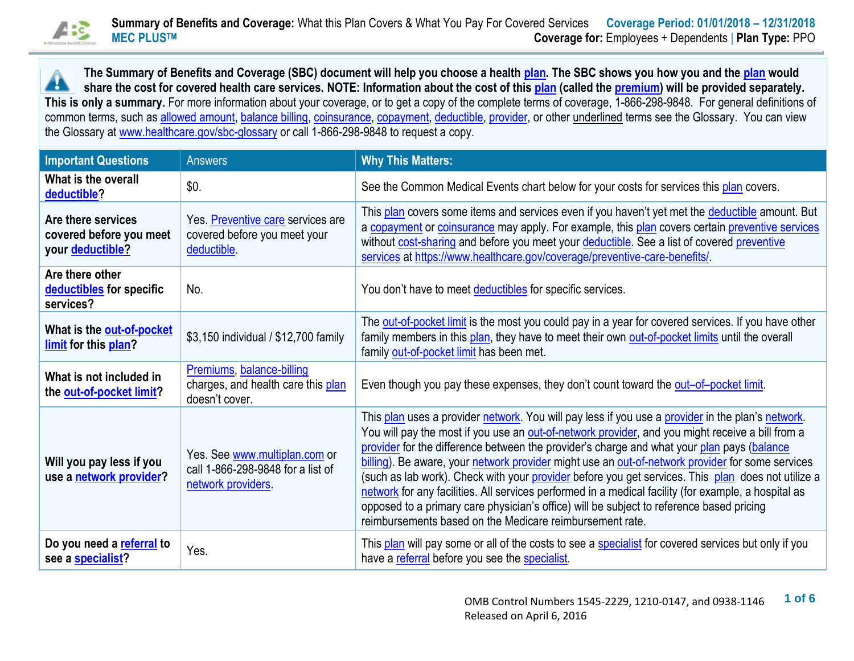

**The Summary of Benefits and Coverage (SBC) document will help you choose a health [plan.](https://www.healthcare.gov/sbc-glossary/#plan) The SBC shows you how you and the [plan](https://www.healthcare.gov/sbc-glossary/#plan) would** ┻ **share the cost for covered health care services. NOTE: Information about the cost of thi[s plan](https://www.healthcare.gov/sbc-glossary/#plan) (called the [premium\)](https://www.healthcare.gov/sbc-glossary/#premium) will be provided separately. This is only a summary.** For more information about your coverage, or to get a copy of the complete terms of coverage, 1-866-298-9848. For general definitions of common terms, such as [allowed amount,](https://www.healthcare.gov/sbc-glossary/#allowed-amount) [balance billing,](https://www.healthcare.gov/sbc-glossary/#balance-billing) [coinsurance,](https://www.healthcare.gov/sbc-glossary/#coinsurance) [copayment,](https://www.healthcare.gov/sbc-glossary/#copayment) [deductible,](https://www.healthcare.gov/sbc-glossary/#deductible) [provider,](https://www.healthcare.gov/sbc-glossary/#provider) or other underlined terms see the Glossary. You can view the Glossary at [www.healthcare.gov/sbc-glossary](https://www.healthcare.gov/sbc-glossary/) or call 1-866-298-9848 to request a copy.

| <b>Important Questions</b>                                        | <b>Answers</b>                                                                          | <b>Why This Matters:</b>                                                                                                                                                                                                                                                                                                                                                                                                                                                                                                                                                                                                                                                                                                                                                      |
|-------------------------------------------------------------------|-----------------------------------------------------------------------------------------|-------------------------------------------------------------------------------------------------------------------------------------------------------------------------------------------------------------------------------------------------------------------------------------------------------------------------------------------------------------------------------------------------------------------------------------------------------------------------------------------------------------------------------------------------------------------------------------------------------------------------------------------------------------------------------------------------------------------------------------------------------------------------------|
| What is the overall<br>deductible?                                | \$0.                                                                                    | See the Common Medical Events chart below for your costs for services this plan covers.                                                                                                                                                                                                                                                                                                                                                                                                                                                                                                                                                                                                                                                                                       |
| Are there services<br>covered before you meet<br>your deductible? | Yes. Preventive care services are<br>covered before you meet your<br>deductible.        | This plan covers some items and services even if you haven't yet met the deductible amount. But<br>a copayment or coinsurance may apply. For example, this plan covers certain preventive services<br>without cost-sharing and before you meet your deductible. See a list of covered preventive<br>services at https://www.healthcare.gov/coverage/preventive-care-benefits/                                                                                                                                                                                                                                                                                                                                                                                                 |
| Are there other<br>deductibles for specific<br>services?          | No.                                                                                     | You don't have to meet deductibles for specific services.                                                                                                                                                                                                                                                                                                                                                                                                                                                                                                                                                                                                                                                                                                                     |
| What is the out-of-pocket<br>limit for this plan?                 | \$3,150 individual / \$12,700 family                                                    | The out-of-pocket limit is the most you could pay in a year for covered services. If you have other<br>family members in this plan, they have to meet their own out-of-pocket limits until the overall<br>family out-of-pocket limit has been met.                                                                                                                                                                                                                                                                                                                                                                                                                                                                                                                            |
| What is not included in<br>the out-of-pocket limit?               | Premiums, balance-billing<br>charges, and health care this plan<br>doesn't cover.       | Even though you pay these expenses, they don't count toward the out-of-pocket limit.                                                                                                                                                                                                                                                                                                                                                                                                                                                                                                                                                                                                                                                                                          |
| Will you pay less if you<br>use a network provider?               | Yes. See www.multiplan.com or<br>call 1-866-298-9848 for a list of<br>network providers | This plan uses a provider network. You will pay less if you use a provider in the plan's network.<br>You will pay the most if you use an out-of-network provider, and you might receive a bill from a<br>provider for the difference between the provider's charge and what your plan pays (balance<br>billing). Be aware, your network provider might use an out-of-network provider for some services<br>(such as lab work). Check with your provider before you get services. This plan does not utilize a<br>network for any facilities. All services performed in a medical facility (for example, a hospital as<br>opposed to a primary care physician's office) will be subject to reference based pricing<br>reimbursements based on the Medicare reimbursement rate. |
| Do you need a referral to<br>see a specialist?                    | Yes.                                                                                    | This plan will pay some or all of the costs to see a specialist for covered services but only if you<br>have a referral before you see the specialist.                                                                                                                                                                                                                                                                                                                                                                                                                                                                                                                                                                                                                        |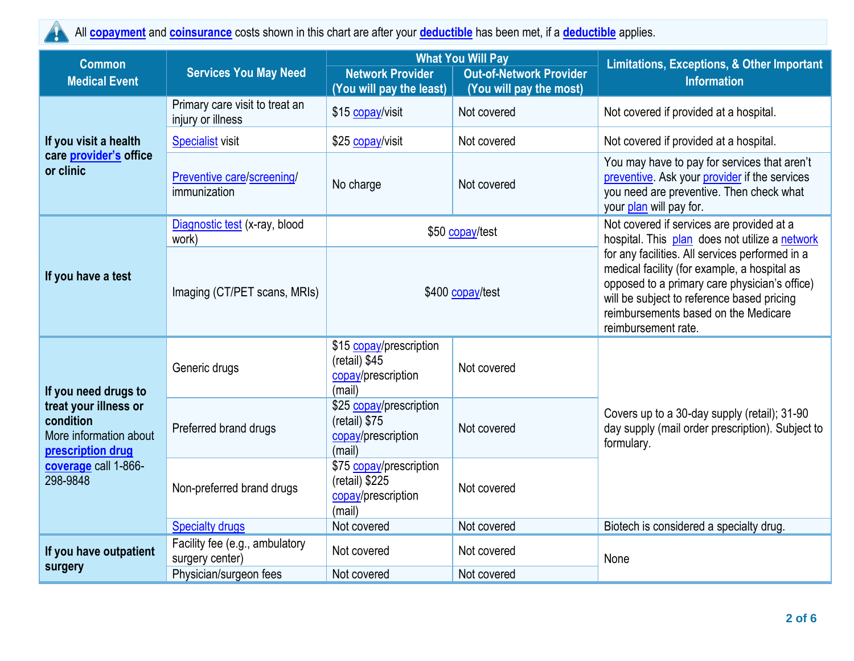

All **[copayment](https://www.healthcare.gov/sbc-glossary/#copayment)** and **[coinsurance](https://www.healthcare.gov/sbc-glossary/#coinsurance)** costs shown in this chart are after your **[deductible](https://www.healthcare.gov/sbc-glossary/#deductible)** has been met, if a **[deductible](https://www.healthcare.gov/sbc-glossary/#deductible)** applies.

| <b>Common</b>                                                                                                         |                                                     | <b>What You Will Pay</b>                                                  |                                                                                                                                                                                                                                                               | <b>Limitations, Exceptions, &amp; Other Important</b>                                                                                                                |  |
|-----------------------------------------------------------------------------------------------------------------------|-----------------------------------------------------|---------------------------------------------------------------------------|---------------------------------------------------------------------------------------------------------------------------------------------------------------------------------------------------------------------------------------------------------------|----------------------------------------------------------------------------------------------------------------------------------------------------------------------|--|
| <b>Medical Event</b>                                                                                                  | <b>Services You May Need</b>                        | <b>Network Provider</b><br>(You will pay the least)                       | <b>Out-of-Network Provider</b><br>(You will pay the most)                                                                                                                                                                                                     | <b>Information</b>                                                                                                                                                   |  |
|                                                                                                                       | Primary care visit to treat an<br>injury or illness | \$15 copay/visit                                                          | Not covered                                                                                                                                                                                                                                                   | Not covered if provided at a hospital.                                                                                                                               |  |
| If you visit a health                                                                                                 | <b>Specialist visit</b>                             | \$25 copay/visit                                                          | Not covered                                                                                                                                                                                                                                                   | Not covered if provided at a hospital.                                                                                                                               |  |
| care provider's office<br>or clinic                                                                                   | Preventive care/screening/<br>immunization          | No charge                                                                 | Not covered                                                                                                                                                                                                                                                   | You may have to pay for services that aren't<br>preventive. Ask your provider if the services<br>you need are preventive. Then check what<br>your plan will pay for. |  |
|                                                                                                                       | Diagnostic test (x-ray, blood<br>work)              | \$50 copay/test                                                           |                                                                                                                                                                                                                                                               | Not covered if services are provided at a<br>hospital. This plan does not utilize a network                                                                          |  |
| If you have a test                                                                                                    | \$400 copay/test<br>Imaging (CT/PET scans, MRIs)    |                                                                           | for any facilities. All services performed in a<br>medical facility (for example, a hospital as<br>opposed to a primary care physician's office)<br>will be subject to reference based pricing<br>reimbursements based on the Medicare<br>reimbursement rate. |                                                                                                                                                                      |  |
| If you need drugs to                                                                                                  | Generic drugs                                       | \$15 copay/prescription<br>(retail) \$45<br>copay/prescription<br>(mail)  | Not covered                                                                                                                                                                                                                                                   | Covers up to a 30-day supply (retail); 31-90<br>day supply (mail order prescription). Subject to<br>formulary.                                                       |  |
| treat your illness or<br>condition<br>More information about<br>prescription drug<br>coverage call 1-866-<br>298-9848 | Preferred brand drugs                               | \$25 copay/prescription<br>(retail) \$75<br>copay/prescription<br>(mail)  | Not covered                                                                                                                                                                                                                                                   |                                                                                                                                                                      |  |
|                                                                                                                       | Non-preferred brand drugs                           | \$75 copay/prescription<br>(retail) \$225<br>copay/prescription<br>(mail) | Not covered                                                                                                                                                                                                                                                   |                                                                                                                                                                      |  |
|                                                                                                                       | <b>Specialty drugs</b>                              | Not covered                                                               | Not covered                                                                                                                                                                                                                                                   | Biotech is considered a specialty drug.                                                                                                                              |  |
| If you have outpatient<br>surgery                                                                                     | Facility fee (e.g., ambulatory<br>surgery center)   | Not covered                                                               | Not covered                                                                                                                                                                                                                                                   | None                                                                                                                                                                 |  |
|                                                                                                                       | Physician/surgeon fees                              | Not covered                                                               | Not covered                                                                                                                                                                                                                                                   |                                                                                                                                                                      |  |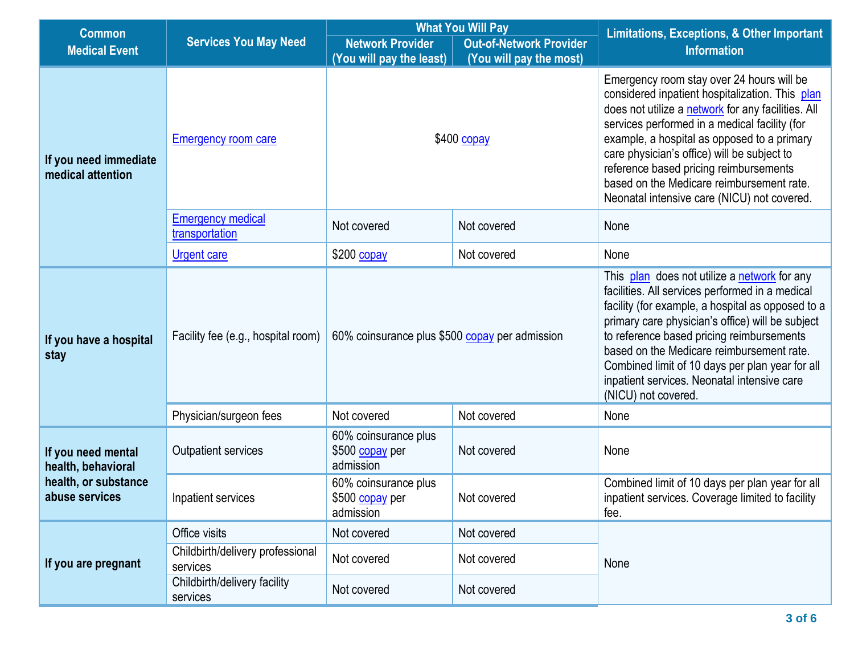| <b>Common</b>                              | <b>Services You May Need</b>                                             | <b>What You Will Pay</b><br><b>Network Provider</b><br><b>Out-of-Network Provider</b> |                         | <b>Limitations, Exceptions, &amp; Other Important</b>                                                                                                                                                                                                                                                                                                                                                                                   |  |
|--------------------------------------------|--------------------------------------------------------------------------|---------------------------------------------------------------------------------------|-------------------------|-----------------------------------------------------------------------------------------------------------------------------------------------------------------------------------------------------------------------------------------------------------------------------------------------------------------------------------------------------------------------------------------------------------------------------------------|--|
| <b>Medical Event</b>                       |                                                                          | (You will pay the least)                                                              | (You will pay the most) | <b>Information</b>                                                                                                                                                                                                                                                                                                                                                                                                                      |  |
| If you need immediate<br>medical attention | <b>Emergency room care</b>                                               | \$400 copay                                                                           |                         | Emergency room stay over 24 hours will be<br>considered inpatient hospitalization. This plan<br>does not utilize a network for any facilities. All<br>services performed in a medical facility (for<br>example, a hospital as opposed to a primary<br>care physician's office) will be subject to<br>reference based pricing reimbursements<br>based on the Medicare reimbursement rate.<br>Neonatal intensive care (NICU) not covered. |  |
|                                            | <b>Emergency medical</b><br>Not covered<br>Not covered<br>transportation |                                                                                       | None                    |                                                                                                                                                                                                                                                                                                                                                                                                                                         |  |
|                                            | <b>Urgent care</b>                                                       | $$200$ copay                                                                          | Not covered             | None                                                                                                                                                                                                                                                                                                                                                                                                                                    |  |
| If you have a hospital<br>stay             | Facility fee (e.g., hospital room)                                       | 60% coinsurance plus \$500 copay per admission                                        |                         | This plan does not utilize a network for any<br>facilities. All services performed in a medical<br>facility (for example, a hospital as opposed to a<br>primary care physician's office) will be subject<br>to reference based pricing reimbursements<br>based on the Medicare reimbursement rate.<br>Combined limit of 10 days per plan year for all<br>inpatient services. Neonatal intensive care<br>(NICU) not covered.             |  |
|                                            | Physician/surgeon fees<br>Not covered<br>Not covered                     |                                                                                       | None                    |                                                                                                                                                                                                                                                                                                                                                                                                                                         |  |
| If you need mental<br>health, behavioral   | <b>Outpatient services</b>                                               | 60% coinsurance plus<br>\$500 copay per<br>admission                                  | Not covered             | None                                                                                                                                                                                                                                                                                                                                                                                                                                    |  |
| health, or substance<br>abuse services     | Inpatient services                                                       | 60% coinsurance plus<br>\$500 copay per<br>admission                                  | Not covered             | Combined limit of 10 days per plan year for all<br>inpatient services. Coverage limited to facility<br>fee.                                                                                                                                                                                                                                                                                                                             |  |
|                                            | Office visits                                                            | Not covered                                                                           | Not covered             |                                                                                                                                                                                                                                                                                                                                                                                                                                         |  |
| If you are pregnant                        | Childbirth/delivery professional<br>services                             | Not covered                                                                           | Not covered             | None                                                                                                                                                                                                                                                                                                                                                                                                                                    |  |
|                                            | Childbirth/delivery facility<br>services                                 | Not covered                                                                           | Not covered             |                                                                                                                                                                                                                                                                                                                                                                                                                                         |  |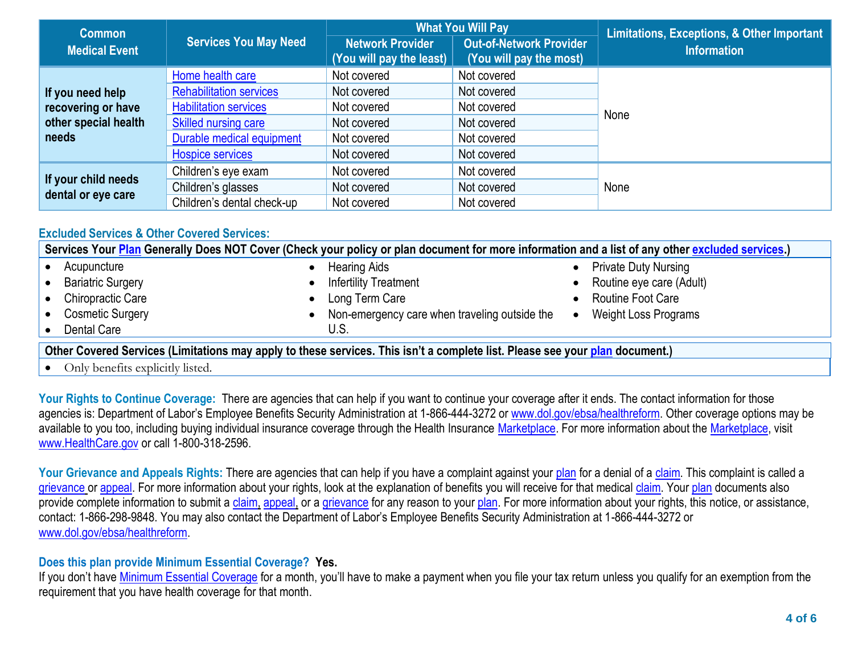| <b>Common</b>                                                           |                                |                                              | <b>What You Will Pay</b>                                  | Limitations, Exceptions, & Other Important |
|-------------------------------------------------------------------------|--------------------------------|----------------------------------------------|-----------------------------------------------------------|--------------------------------------------|
| <b>Medical Event</b>                                                    | <b>Services You May Need</b>   | Network Provider<br>(You will pay the least) | <b>Out-of-Network Provider</b><br>(You will pay the most) | <b>Information</b>                         |
|                                                                         |                                |                                              |                                                           |                                            |
|                                                                         | Home health care               | Not covered                                  | Not covered                                               |                                            |
| If you need help<br>recovering or have<br>other special health<br>needs | <b>Rehabilitation services</b> | Not covered                                  | Not covered                                               |                                            |
|                                                                         | <b>Habilitation services</b>   | Not covered                                  | Not covered                                               | None                                       |
|                                                                         | Skilled nursing care           | Not covered                                  | Not covered                                               |                                            |
|                                                                         | Durable medical equipment      | Not covered                                  | Not covered                                               |                                            |
|                                                                         | Hospice services               | Not covered                                  | Not covered                                               |                                            |
| If your child needs<br>dental or eye care                               | Children's eye exam            | Not covered                                  | Not covered                                               |                                            |
|                                                                         | Children's glasses             | Not covered                                  | Not covered                                               | None                                       |
|                                                                         | Children's dental check-up     | Not covered                                  | Not covered                                               |                                            |

# **Excluded Services & Other Covered Services:**

| Hearing Aids<br><b>Private Duty Nursing</b><br>Acupuncture<br>$\bullet$                                                                                                                                                 | Services Your Plan Generally Does NOT Cover (Check your policy or plan document for more information and a list of any other excluded services.) |                                           |                          |  |  |  |
|-------------------------------------------------------------------------------------------------------------------------------------------------------------------------------------------------------------------------|--------------------------------------------------------------------------------------------------------------------------------------------------|-------------------------------------------|--------------------------|--|--|--|
| <b>Chiropractic Care</b><br><b>Routine Foot Care</b><br>Long Term Care<br>$\bullet$<br><b>Cosmetic Surgery</b><br>• Non-emergency care when traveling outside the<br><b>Weight Loss Programs</b><br>Dental Care<br>U.S. | <b>Bariatric Surgery</b>                                                                                                                         | <b>Infertility Treatment</b><br>$\bullet$ | Routine eye care (Adult) |  |  |  |
| Other Covered Services (Limitations may apply to these services. This isn't a complete list. Please see your plan document.)                                                                                            |                                                                                                                                                  |                                           |                          |  |  |  |

• Only benefits explicitly listed.

Your Rights to Continue Coverage: There are agencies that can help if you want to continue your coverage after it ends. The contact information for those agencies is: Department of Labor's Employee Benefits Security Administration at 1-866-444-3272 or [www.dol.gov/ebsa/healthreform.](http://www.dol.gov/ebsa/healthreform) Other coverage options may be available to you too, including buying individual insurance coverage through the Health Insurance [Marketplace.](https://www.healthcare.gov/sbc-glossary/#marketplace) For more information about the [Marketplace,](https://www.healthcare.gov/sbc-glossary/#marketplace) visit [www.HealthCare.gov](http://www.healthcare.gov/) or call 1-800-318-2596.

Your Grievance and Appeals Rights: There are agencies that can help if you have a complaint against your [plan](https://www.healthcare.gov/sbc-glossary/#plan) for a denial of a [claim.](https://www.healthcare.gov/sbc-glossary/#claim) This complaint is called a [grievance](https://www.healthcare.gov/sbc-glossary/#grievance) or [appeal.](https://www.healthcare.gov/sbc-glossary/#appeal) For more information about your rights, look at the explanation of benefits you will receive for that medical [claim.](https://www.healthcare.gov/sbc-glossary/#claim) Your [plan](https://www.healthcare.gov/sbc-glossary/#plan) documents also provide complete information to submit a [claim,](https://www.healthcare.gov/sbc-glossary/#claim) [appeal,](https://www.healthcare.gov/sbc-glossary/#appeal) or a [grievance](https://www.healthcare.gov/sbc-glossary/#grievance) for any reason to your [plan.](https://www.healthcare.gov/sbc-glossary/#plan) For more information about your rights, this notice, or assistance, contact: 1-866-298-9848. You may also contact the Department of Labor's Employee Benefits Security Administration at 1-866-444-3272 or [www.dol.gov/ebsa/healthreform.](http://www.dol.gov/ebsa/healthreform)

## **Does this plan provide Minimum Essential Coverage? Yes.**

If you don't have [Minimum Essential Coverage](https://www.healthcare.gov/sbc-glossary/#minimum-essential-coverage) for a month, you'll have to make a payment when you file your tax return unless you qualify for an exemption from the requirement that you have health coverage for that month.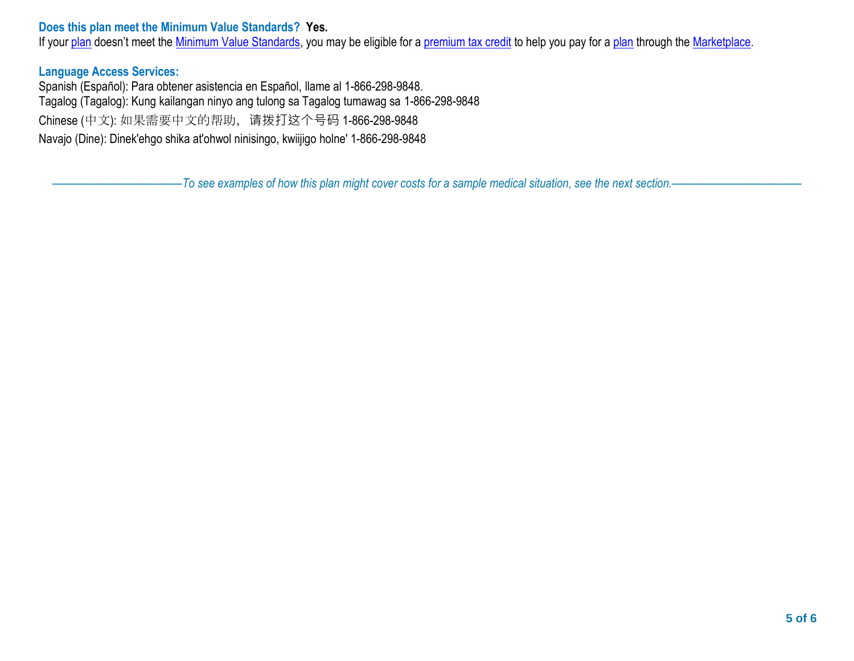### **Does this plan meet the Minimum Value Standards? Yes.**

If your [plan](https://www.healthcare.gov/sbc-glossary/#plan) doesn't meet the [Minimum Value Standards,](https://www.healthcare.gov/sbc-glossary/#minimum-value-standard) you may be eligible for a [premium tax credit](https://www.healthcare.gov/sbc-glossary/#premium-tax-credits) to help you pay for a [plan](https://www.healthcare.gov/sbc-glossary/#plan) through the [Marketplace.](https://www.healthcare.gov/sbc-glossary/#marketplace)

### **Language Access Services:**

Spanish (Español): Para obtener asistencia en Español, llame al 1-866-298-9848. Tagalog (Tagalog): Kung kailangan ninyo ang tulong sa Tagalog tumawag sa 1-866-298-9848 Chinese (中文): 如果需要中文的帮助,请拨打这个号码 1-866-298-9848 Navajo (Dine): Dinek'ehgo shika at'ohwol ninisingo, kwiijigo holne' 1-866-298-9848

––––––––––––––––––––––*To see examples of how this plan might cover costs for a sample medical situation, see the next section.–––––––––––*–––––––––––